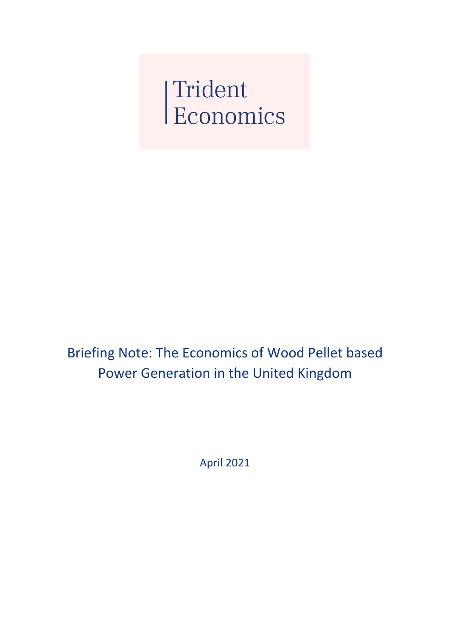Trident<br>Economics

Briefing Note: The Economics of Wood Pellet based Power Generation in the United Kingdom

April 2021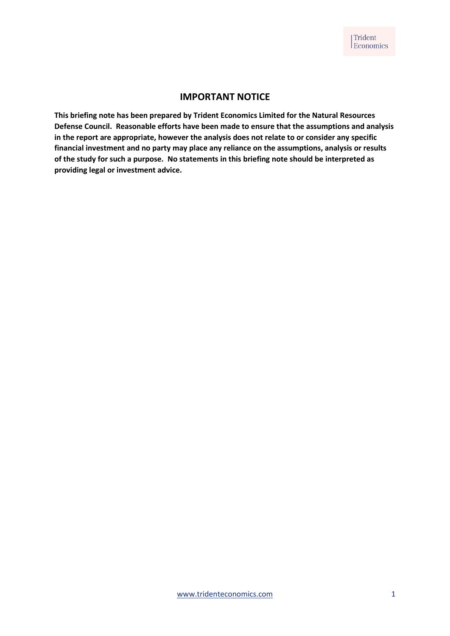### **IMPORTANT NOTICE**

**This briefing note has been prepared by Trident Economics Limited for the Natural Resources Defense Council. Reasonable efforts have been made to ensure that the assumptions and analysis in the report are appropriate, however the analysis does not relate to or consider any specific financial investment and no party may place any reliance on the assumptions, analysis or results of the study for such a purpose. No statements in this briefing note should be interpreted as providing legal or investment advice.**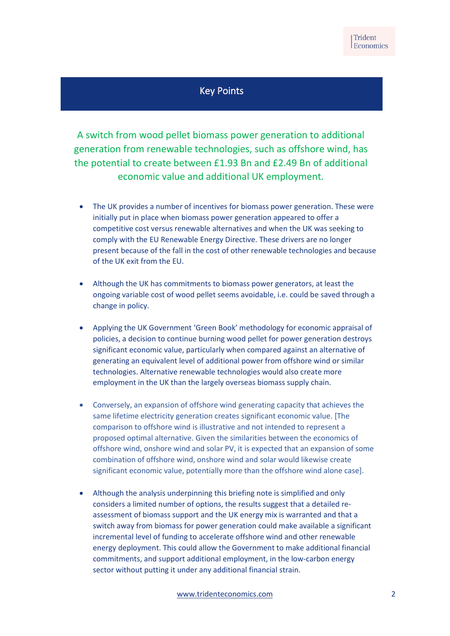# Key Points

A switch from wood pellet biomass power generation to additional generation from renewable technologies, such as offshore wind, has the potential to create between £1.93 Bn and £2.49 Bn of additional economic value and additional UK employment.

- The UK provides a number of incentives for biomass power generation. These were initially put in place when biomass power generation appeared to offer a competitive cost versus renewable alternatives and when the UK was seeking to comply with the EU Renewable Energy Directive. These drivers are no longer present because of the fall in the cost of other renewable technologies and because of the UK exit from the EU.
- Although the UK has commitments to biomass power generators, at least the ongoing variable cost of wood pellet seems avoidable, i.e. could be saved through a change in policy.
- Applying the UK Government 'Green Book' methodology for economic appraisal of policies, a decision to continue burning wood pellet for power generation destroys significant economic value, particularly when compared against an alternative of generating an equivalent level of additional power from offshore wind or similar technologies. Alternative renewable technologies would also create more employment in the UK than the largely overseas biomass supply chain.
- Conversely, an expansion of offshore wind generating capacity that achieves the same lifetime electricity generation creates significant economic value. [The comparison to offshore wind is illustrative and not intended to represent a proposed optimal alternative. Given the similarities between the economics of offshore wind, onshore wind and solar PV, it is expected that an expansion of some combination of offshore wind, onshore wind and solar would likewise create significant economic value, potentially more than the offshore wind alone case].
- Although the analysis underpinning this briefing note is simplified and only considers a limited number of options, the results suggest that a detailed reassessment of biomass support and the UK energy mix is warranted and that a switch away from biomass for power generation could make available a significant incremental level of funding to accelerate offshore wind and other renewable energy deployment. This could allow the Government to make additional financial commitments, and support additional employment, in the low-carbon energy sector without putting it under any additional financial strain.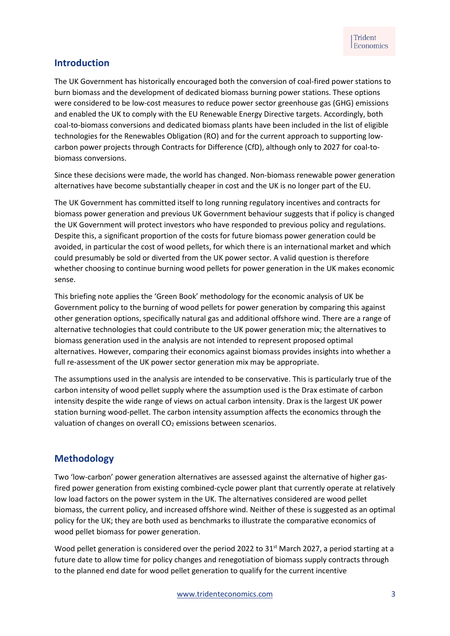### **Introduction**

The UK Government has historically encouraged both the conversion of coal-fired power stations to burn biomass and the development of dedicated biomass burning power stations. These options were considered to be low-cost measures to reduce power sector greenhouse gas (GHG) emissions and enabled the UK to comply with the EU Renewable Energy Directive targets. Accordingly, both coal-to-biomass conversions and dedicated biomass plants have been included in the list of eligible technologies for the Renewables Obligation (RO) and for the current approach to supporting lowcarbon power projects through Contracts for Difference (CfD), although only to 2027 for coal-tobiomass conversions.

Since these decisions were made, the world has changed. Non-biomass renewable power generation alternatives have become substantially cheaper in cost and the UK is no longer part of the EU.

The UK Government has committed itself to long running regulatory incentives and contracts for biomass power generation and previous UK Government behaviour suggests that if policy is changed the UK Government will protect investors who have responded to previous policy and regulations. Despite this, a significant proportion of the costs for future biomass power generation could be avoided, in particular the cost of wood pellets, for which there is an international market and which could presumably be sold or diverted from the UK power sector. A valid question is therefore whether choosing to continue burning wood pellets for power generation in the UK makes economic sense.

This briefing note applies the 'Green Book' methodology for the economic analysis of UK be Government policy to the burning of wood pellets for power generation by comparing this against other generation options, specifically natural gas and additional offshore wind. There are a range of alternative technologies that could contribute to the UK power generation mix; the alternatives to biomass generation used in the analysis are not intended to represent proposed optimal alternatives. However, comparing their economics against biomass provides insights into whether a full re-assessment of the UK power sector generation mix may be appropriate.

The assumptions used in the analysis are intended to be conservative. This is particularly true of the carbon intensity of wood pellet supply where the assumption used is the Drax estimate of carbon intensity despite the wide range of views on actual carbon intensity. Drax is the largest UK power station burning wood-pellet. The carbon intensity assumption affects the economics through the valuation of changes on overall  $CO<sub>2</sub>$  emissions between scenarios.

## **Methodology**

Two 'low-carbon' power generation alternatives are assessed against the alternative of higher gasfired power generation from existing combined-cycle power plant that currently operate at relatively low load factors on the power system in the UK. The alternatives considered are wood pellet biomass, the current policy, and increased offshore wind. Neither of these is suggested as an optimal policy for the UK; they are both used as benchmarks to illustrate the comparative economics of wood pellet biomass for power generation.

Wood pellet generation is considered over the period 2022 to 31<sup>st</sup> March 2027, a period starting at a future date to allow time for policy changes and renegotiation of biomass supply contracts through to the planned end date for wood pellet generation to qualify for the current incentive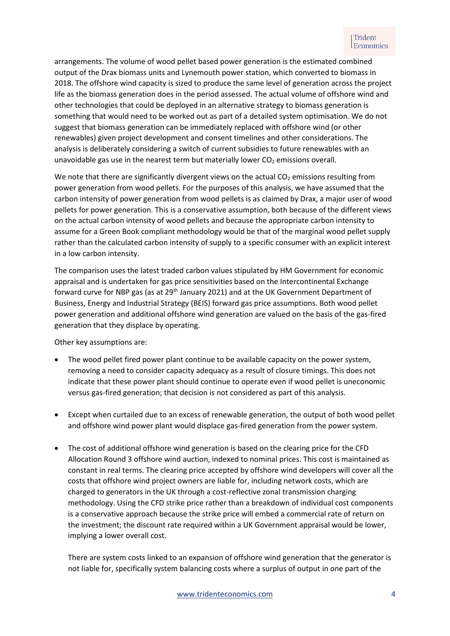arrangements. The volume of wood pellet based power generation is the estimated combined output of the Drax biomass units and Lynemouth power station, which converted to biomass in 2018. The offshore wind capacity is sized to produce the same level of generation across the project life as the biomass generation does in the period assessed. The actual volume of offshore wind and other technologies that could be deployed in an alternative strategy to biomass generation is something that would need to be worked out as part of a detailed system optimisation. We do not suggest that biomass generation can be immediately replaced with offshore wind (or other renewables) given project development and consent timelines and other considerations. The analysis is deliberately considering a switch of current subsidies to future renewables with an unavoidable gas use in the nearest term but materially lower  $CO<sub>2</sub>$  emissions overall.

We note that there are significantly divergent views on the actual  $CO<sub>2</sub>$  emissions resulting from power generation from wood pellets. For the purposes of this analysis, we have assumed that the carbon intensity of power generation from wood pellets is as claimed by Drax, a major user of wood pellets for power generation. This is a conservative assumption, both because of the different views on the actual carbon intensity of wood pellets and because the appropriate carbon intensity to assume for a Green Book compliant methodology would be that of the marginal wood pellet supply rather than the calculated carbon intensity of supply to a specific consumer with an explicit interest in a low carbon intensity.

The comparison uses the latest traded carbon values stipulated by HM Government for economic appraisal and is undertaken for gas price sensitivities based on the Intercontinental Exchange forward curve for NBP gas (as at 29<sup>th</sup> January 2021) and at the UK Government Department of Business, Energy and Industrial Strategy (BEIS) forward gas price assumptions. Both wood pellet power generation and additional offshore wind generation are valued on the basis of the gas-fired generation that they displace by operating.

Other key assumptions are:

- The wood pellet fired power plant continue to be available capacity on the power system, removing a need to consider capacity adequacy as a result of closure timings. This does not indicate that these power plant should continue to operate even if wood pellet is uneconomic versus gas-fired generation; that decision is not considered as part of this analysis.
- Except when curtailed due to an excess of renewable generation, the output of both wood pellet and offshore wind power plant would displace gas-fired generation from the power system.
- The cost of additional offshore wind generation is based on the clearing price for the CFD Allocation Round 3 offshore wind auction, indexed to nominal prices. This cost is maintained as constant in real terms. The clearing price accepted by offshore wind developers will cover all the costs that offshore wind project owners are liable for, including network costs, which are charged to generators in the UK through a cost-reflective zonal transmission charging methodology. Using the CFD strike price rather than a breakdown of individual cost components is a conservative approach because the strike price will embed a commercial rate of return on the investment; the discount rate required within a UK Government appraisal would be lower, implying a lower overall cost.

There are system costs linked to an expansion of offshore wind generation that the generator is not liable for, specifically system balancing costs where a surplus of output in one part of the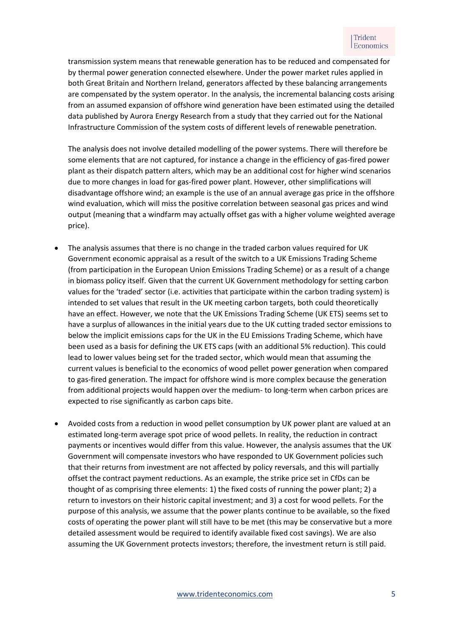transmission system means that renewable generation has to be reduced and compensated for by thermal power generation connected elsewhere. Under the power market rules applied in both Great Britain and Northern Ireland, generators affected by these balancing arrangements are compensated by the system operator. In the analysis, the incremental balancing costs arising from an assumed expansion of offshore wind generation have been estimated using the detailed data published by Aurora Energy Research from a study that they carried out for the National Infrastructure Commission of the system costs of different levels of renewable penetration.

The analysis does not involve detailed modelling of the power systems. There will therefore be some elements that are not captured, for instance a change in the efficiency of gas-fired power plant as their dispatch pattern alters, which may be an additional cost for higher wind scenarios due to more changes in load for gas-fired power plant. However, other simplifications will disadvantage offshore wind; an example is the use of an annual average gas price in the offshore wind evaluation, which will miss the positive correlation between seasonal gas prices and wind output (meaning that a windfarm may actually offset gas with a higher volume weighted average price).

- The analysis assumes that there is no change in the traded carbon values required for UK Government economic appraisal as a result of the switch to a UK Emissions Trading Scheme (from participation in the European Union Emissions Trading Scheme) or as a result of a change in biomass policy itself. Given that the current UK Government methodology for setting carbon values for the 'traded' sector (i.e. activities that participate within the carbon trading system) is intended to set values that result in the UK meeting carbon targets, both could theoretically have an effect. However, we note that the UK Emissions Trading Scheme (UK ETS) seems set to have a surplus of allowances in the initial years due to the UK cutting traded sector emissions to below the implicit emissions caps for the UK in the EU Emissions Trading Scheme, which have been used as a basis for defining the UK ETS caps (with an additional 5% reduction). This could lead to lower values being set for the traded sector, which would mean that assuming the current values is beneficial to the economics of wood pellet power generation when compared to gas-fired generation. The impact for offshore wind is more complex because the generation from additional projects would happen over the medium- to long-term when carbon prices are expected to rise significantly as carbon caps bite.
- Avoided costs from a reduction in wood pellet consumption by UK power plant are valued at an estimated long-term average spot price of wood pellets. In reality, the reduction in contract payments or incentives would differ from this value. However, the analysis assumes that the UK Government will compensate investors who have responded to UK Government policies such that their returns from investment are not affected by policy reversals, and this will partially offset the contract payment reductions. As an example, the strike price set in CfDs can be thought of as comprising three elements: 1) the fixed costs of running the power plant; 2) a return to investors on their historic capital investment; and 3) a cost for wood pellets. For the purpose of this analysis, we assume that the power plants continue to be available, so the fixed costs of operating the power plant will still have to be met (this may be conservative but a more detailed assessment would be required to identify available fixed cost savings). We are also assuming the UK Government protects investors; therefore, the investment return is still paid.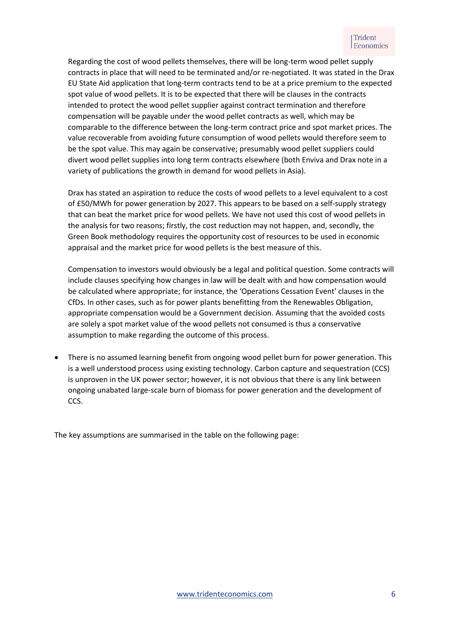Regarding the cost of wood pellets themselves, there will be long-term wood pellet supply contracts in place that will need to be terminated and/or re-negotiated. It was stated in the Drax EU State Aid application that long-term contracts tend to be at a price premium to the expected spot value of wood pellets. It is to be expected that there will be clauses in the contracts intended to protect the wood pellet supplier against contract termination and therefore compensation will be payable under the wood pellet contracts as well, which may be comparable to the difference between the long-term contract price and spot market prices. The value recoverable from avoiding future consumption of wood pellets would therefore seem to be the spot value. This may again be conservative; presumably wood pellet suppliers could divert wood pellet supplies into long term contracts elsewhere (both Enviva and Drax note in a variety of publications the growth in demand for wood pellets in Asia).

Drax has stated an aspiration to reduce the costs of wood pellets to a level equivalent to a cost of £50/MWh for power generation by 2027. This appears to be based on a self-supply strategy that can beat the market price for wood pellets. We have not used this cost of wood pellets in the analysis for two reasons; firstly, the cost reduction may not happen, and, secondly, the Green Book methodology requires the opportunity cost of resources to be used in economic appraisal and the market price for wood pellets is the best measure of this.

Compensation to investors would obviously be a legal and political question. Some contracts will include clauses specifying how changes in law will be dealt with and how compensation would be calculated where appropriate; for instance, the 'Operations Cessation Event' clauses in the CfDs. In other cases, such as for power plants benefitting from the Renewables Obligation, appropriate compensation would be a Government decision. Assuming that the avoided costs are solely a spot market value of the wood pellets not consumed is thus a conservative assumption to make regarding the outcome of this process.

• There is no assumed learning benefit from ongoing wood pellet burn for power generation. This is a well understood process using existing technology. Carbon capture and sequestration (CCS) is unproven in the UK power sector; however, it is not obvious that there is any link between ongoing unabated large-scale burn of biomass for power generation and the development of CCS.

The key assumptions are summarised in the table on the following page: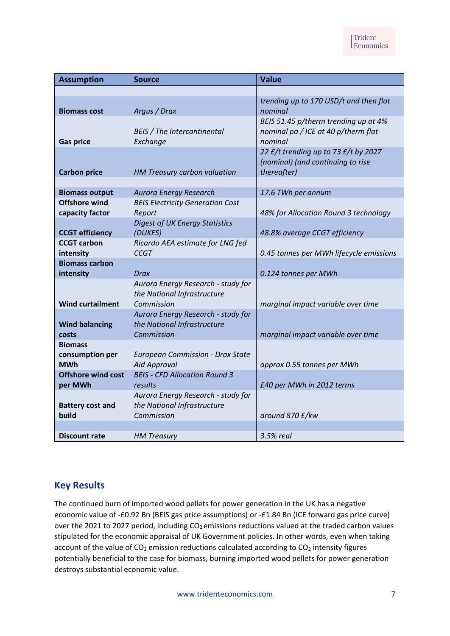| <b>Assumption</b>                               | <b>Source</b>                                                                   | <b>Value</b>                                                                             |
|-------------------------------------------------|---------------------------------------------------------------------------------|------------------------------------------------------------------------------------------|
|                                                 |                                                                                 |                                                                                          |
| <b>Biomass cost</b>                             | Argus / Drax                                                                    | trending up to 170 USD/t and then flat<br>nominal                                        |
| <b>Gas price</b>                                | <b>BEIS</b> / The Intercontinental<br>Exchange                                  | BEIS 51.45 p/therm trending up at 4%<br>nominal pa / ICE at 40 p/therm flat<br>nominal   |
| <b>Carbon price</b>                             | HM Treasury carbon valuation                                                    | 22 £/t trending up to 73 £/t by 2027<br>(nominal) (and continuing to rise<br>thereafter) |
|                                                 |                                                                                 |                                                                                          |
| <b>Biomass output</b><br><b>Offshore wind</b>   | Aurora Energy Research                                                          | 17.6 TWh per annum                                                                       |
| capacity factor                                 | <b>BEIS Electricity Generation Cost</b><br>Report                               | 48% for Allocation Round 3 technology                                                    |
|                                                 | <b>Digest of UK Energy Statistics</b>                                           |                                                                                          |
| <b>CCGT efficiency</b>                          | (DUKES)                                                                         | 48.8% average CCGT efficiency                                                            |
| <b>CCGT carbon</b>                              | Ricardo AEA estimate for LNG fed                                                |                                                                                          |
| intensity                                       | <b>CCGT</b>                                                                     | 0.45 tonnes per MWh lifecycle emissions                                                  |
| <b>Biomass carbon</b>                           |                                                                                 |                                                                                          |
| intensity                                       | Drax                                                                            | 0.124 tonnes per MWh                                                                     |
| <b>Wind curtailment</b>                         | Aurora Energy Research - study for<br>the National Infrastructure<br>Commission | marginal impact variable over time                                                       |
|                                                 | Aurora Energy Research - study for                                              |                                                                                          |
| <b>Wind balancing</b>                           | the National Infrastructure                                                     |                                                                                          |
| costs                                           | Commission                                                                      | marginal impact variable over time                                                       |
| <b>Biomass</b><br>consumption per<br><b>MWh</b> | <b>European Commission - Drax State</b><br><b>Aid Approval</b>                  | approx 0.55 tonnes per MWh                                                               |
| <b>Offshore wind cost</b>                       | <b>BEIS - CFD Allocation Round 3</b>                                            |                                                                                          |
| per MWh                                         | results                                                                         | £40 per MWh in 2012 terms                                                                |
| <b>Battery cost and</b><br>build                | Aurora Energy Research - study for<br>the National Infrastructure<br>Commission | around 870 £/kw                                                                          |
|                                                 |                                                                                 |                                                                                          |
| <b>Discount rate</b>                            | <b>HM Treasury</b>                                                              | 3.5% real                                                                                |

## **Key Results**

The continued burn of imported wood pellets for power generation in the UK has a negative economic value of -£0.92 Bn (BEIS gas price assumptions) or -£1.84 Bn (ICE forward gas price curve) over the 2021 to 2027 period, including  $CO<sub>2</sub>$  emissions reductions valued at the traded carbon values stipulated for the economic appraisal of UK Government policies. In other words, even when taking account of the value of  $CO<sub>2</sub>$  emission reductions calculated according to  $CO<sub>2</sub>$  intensity figures potentially beneficial to the case for biomass, burning imported wood pellets for power generation destroys substantial economic value.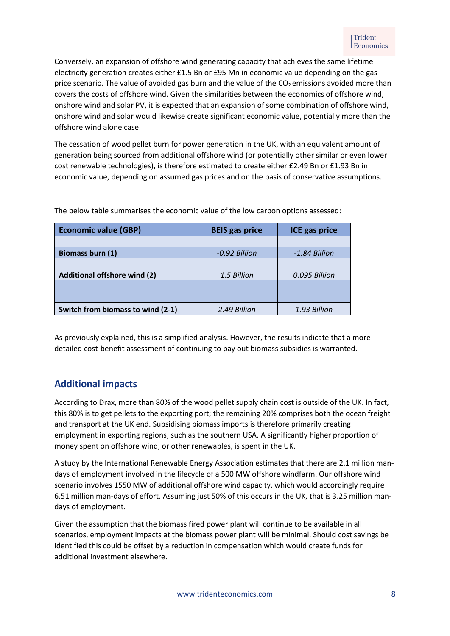Conversely, an expansion of offshore wind generating capacity that achieves the same lifetime electricity generation creates either £1.5 Bn or £95 Mn in economic value depending on the gas price scenario. The value of avoided gas burn and the value of the CO<sub>2</sub> emissions avoided more than covers the costs of offshore wind. Given the similarities between the economics of offshore wind, onshore wind and solar PV, it is expected that an expansion of some combination of offshore wind, onshore wind and solar would likewise create significant economic value, potentially more than the offshore wind alone case.

The cessation of wood pellet burn for power generation in the UK, with an equivalent amount of generation being sourced from additional offshore wind (or potentially other similar or even lower cost renewable technologies), is therefore estimated to create either £2.49 Bn or £1.93 Bn in economic value, depending on assumed gas prices and on the basis of conservative assumptions.

| <b>Economic value (GBP)</b>         | <b>BEIS</b> gas price | <b>ICE gas price</b> |
|-------------------------------------|-----------------------|----------------------|
|                                     |                       |                      |
| Biomass burn (1)                    | -0.92 Billion         | -1.84 Billion        |
| <b>Additional offshore wind (2)</b> | 1.5 Billion           | 0.095 Billion        |
| Switch from biomass to wind (2-1)   | 2.49 Billion          | 1.93 Billion         |

The below table summarises the economic value of the low carbon options assessed:

As previously explained, this is a simplified analysis. However, the results indicate that a more detailed cost-benefit assessment of continuing to pay out biomass subsidies is warranted.

# **Additional impacts**

According to Drax, more than 80% of the wood pellet supply chain cost is outside of the UK. In fact, this 80% is to get pellets to the exporting port; the remaining 20% comprises both the ocean freight and transport at the UK end. Subsidising biomass imports is therefore primarily creating employment in exporting regions, such as the southern USA. A significantly higher proportion of money spent on offshore wind, or other renewables, is spent in the UK.

A study by the International Renewable Energy Association estimates that there are 2.1 million mandays of employment involved in the lifecycle of a 500 MW offshore windfarm. Our offshore wind scenario involves 1550 MW of additional offshore wind capacity, which would accordingly require 6.51 million man-days of effort. Assuming just 50% of this occurs in the UK, that is 3.25 million mandays of employment.

Given the assumption that the biomass fired power plant will continue to be available in all scenarios, employment impacts at the biomass power plant will be minimal. Should cost savings be identified this could be offset by a reduction in compensation which would create funds for additional investment elsewhere.